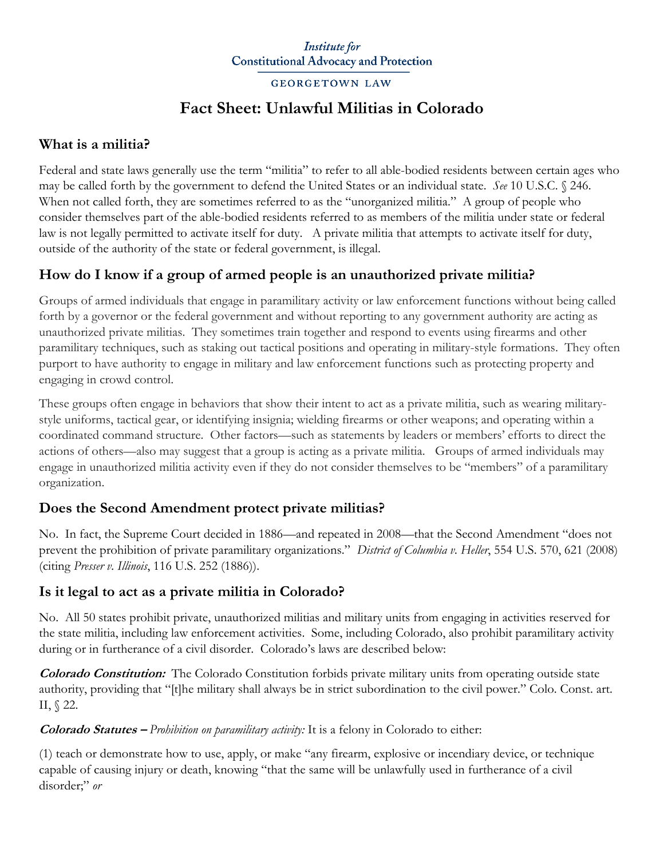#### **Institute** for **Constitutional Advocacy and Protection**

#### **GEORGETOWN LAW**

# **Fact Sheet: Unlawful Militias in Colorado**

## **What is a militia?**

Federal and state laws generally use the term "militia" to refer to all able-bodied residents between certain ages who may be called forth by the government to defend the United States or an individual state. *See* 10 U.S.C. § 246. When not called forth, they are sometimes referred to as the "unorganized militia." A group of people who consider themselves part of the able-bodied residents referred to as members of the militia under state or federal law is not legally permitted to activate itself for duty. A private militia that attempts to activate itself for duty, outside of the authority of the state or federal government, is illegal.

# **How do I know if a group of armed people is an unauthorized private militia?**

Groups of armed individuals that engage in paramilitary activity or law enforcement functions without being called forth by a governor or the federal government and without reporting to any government authority are acting as unauthorized private militias. They sometimes train together and respond to events using firearms and other paramilitary techniques, such as staking out tactical positions and operating in military-style formations. They often purport to have authority to engage in military and law enforcement functions such as protecting property and engaging in crowd control.

These groups often engage in behaviors that show their intent to act as a private militia, such as wearing militarystyle uniforms, tactical gear, or identifying insignia; wielding firearms or other weapons; and operating within a coordinated command structure. Other factors—such as statements by leaders or members' efforts to direct the actions of others—also may suggest that a group is acting as a private militia. Groups of armed individuals may engage in unauthorized militia activity even if they do not consider themselves to be "members" of a paramilitary organization.

## **Does the Second Amendment protect private militias?**

No. In fact, the Supreme Court decided in 1886—and repeated in 2008—that the Second Amendment "does not prevent the prohibition of private paramilitary organizations." *District of Columbia v. Heller*, 554 U.S. 570, 621 (2008) (citing *Presser v. Illinois*, 116 U.S. 252 (1886)).

## **Is it legal to act as a private militia in Colorado?**

No. All 50 states prohibit private, unauthorized militias and military units from engaging in activities reserved for the state militia, including law enforcement activities. Some, including Colorado, also prohibit paramilitary activity during or in furtherance of a civil disorder. Colorado's laws are described below:

**Colorado Constitution:** The Colorado Constitution forbids private military units from operating outside state authority, providing that "[t]he military shall always be in strict subordination to the civil power." Colo. Const. art. II, § 22.

#### **Colorado Statutes –** *Prohibition on paramilitary activity:* It is a felony in Colorado to either:

(1) teach or demonstrate how to use, apply, or make "any firearm, explosive or incendiary device, or technique capable of causing injury or death, knowing "that the same will be unlawfully used in furtherance of a civil disorder;" *or*